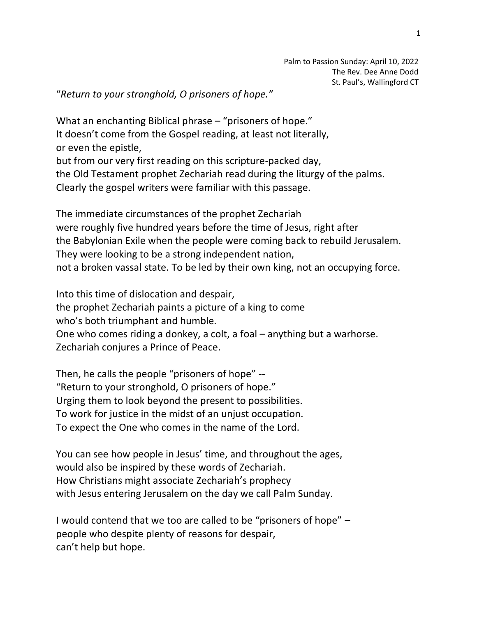"*Return to your stronghold, O prisoners of hope."*

What an enchanting Biblical phrase – "prisoners of hope." It doesn't come from the Gospel reading, at least not literally, or even the epistle, but from our very first reading on this scripture-packed day, the Old Testament prophet Zechariah read during the liturgy of the palms. Clearly the gospel writers were familiar with this passage.

The immediate circumstances of the prophet Zechariah were roughly five hundred years before the time of Jesus, right after the Babylonian Exile when the people were coming back to rebuild Jerusalem. They were looking to be a strong independent nation, not a broken vassal state. To be led by their own king, not an occupying force.

Into this time of dislocation and despair, the prophet Zechariah paints a picture of a king to come who's both triumphant and humble. One who comes riding a donkey, a colt, a foal – anything but a warhorse. Zechariah conjures a Prince of Peace.

Then, he calls the people "prisoners of hope" -- "Return to your stronghold, O prisoners of hope." Urging them to look beyond the present to possibilities. To work for justice in the midst of an unjust occupation. To expect the One who comes in the name of the Lord.

You can see how people in Jesus' time, and throughout the ages, would also be inspired by these words of Zechariah. How Christians might associate Zechariah's prophecy with Jesus entering Jerusalem on the day we call Palm Sunday.

I would contend that we too are called to be "prisoners of hope" – people who despite plenty of reasons for despair, can't help but hope.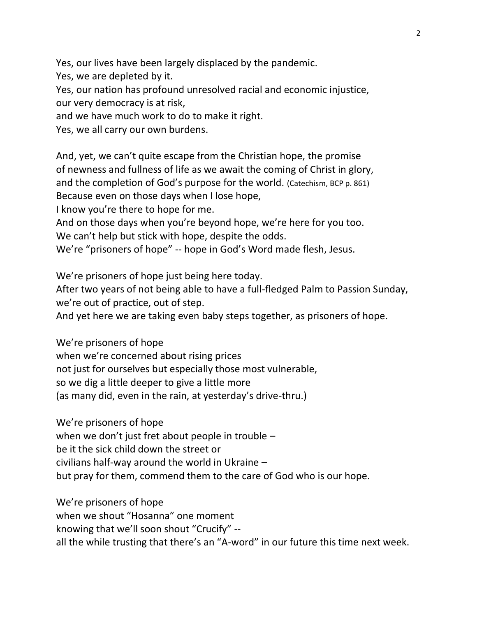Yes, our lives have been largely displaced by the pandemic.

Yes, we are depleted by it.

Yes, our nation has profound unresolved racial and economic injustice,

our very democracy is at risk,

and we have much work to do to make it right.

Yes, we all carry our own burdens.

And, yet, we can't quite escape from the Christian hope, the promise of newness and fullness of life as we await the coming of Christ in glory, and the completion of God's purpose for the world. (Catechism, BCP p. 861) Because even on those days when I lose hope,

I know you're there to hope for me.

And on those days when you're beyond hope, we're here for you too.

We can't help but stick with hope, despite the odds.

We're "prisoners of hope" -- hope in God's Word made flesh, Jesus.

We're prisoners of hope just being here today.

After two years of not being able to have a full-fledged Palm to Passion Sunday, we're out of practice, out of step.

And yet here we are taking even baby steps together, as prisoners of hope.

We're prisoners of hope when we're concerned about rising prices not just for ourselves but especially those most vulnerable, so we dig a little deeper to give a little more (as many did, even in the rain, at yesterday's drive-thru.)

We're prisoners of hope when we don't just fret about people in trouble – be it the sick child down the street or civilians half-way around the world in Ukraine – but pray for them, commend them to the care of God who is our hope.

We're prisoners of hope when we shout "Hosanna" one moment knowing that we'll soon shout "Crucify" - all the while trusting that there's an "A-word" in our future this time next week.